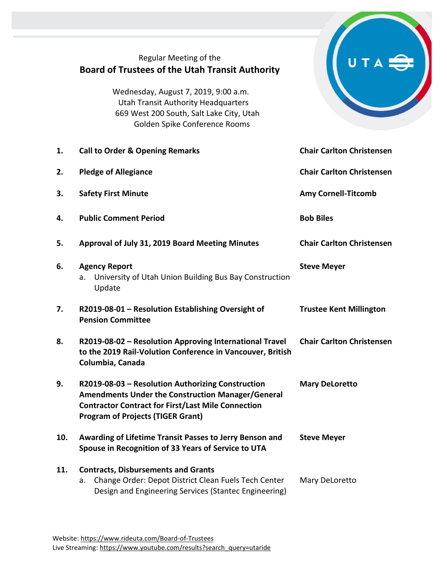|     | Regular Meeting of the<br><b>Board of Trustees of the Utah Transit Authority</b><br>Wednesday, August 7, 2019, 9:00 a.m.<br><b>Utah Transit Authority Headquarters</b><br>669 West 200 South, Salt Lake City, Utah<br>Golden Spike Conference Rooms |                                  |
|-----|-----------------------------------------------------------------------------------------------------------------------------------------------------------------------------------------------------------------------------------------------------|----------------------------------|
| 1.  | <b>Call to Order &amp; Opening Remarks</b>                                                                                                                                                                                                          | <b>Chair Carlton Christensen</b> |
| 2.  | <b>Pledge of Allegiance</b>                                                                                                                                                                                                                         | <b>Chair Carlton Christensen</b> |
| 3.  | <b>Safety First Minute</b>                                                                                                                                                                                                                          | <b>Amy Cornell-Titcomb</b>       |
| 4.  | <b>Public Comment Period</b>                                                                                                                                                                                                                        | <b>Bob Biles</b>                 |
| 5.  | Approval of July 31, 2019 Board Meeting Minutes                                                                                                                                                                                                     | <b>Chair Carlton Christensen</b> |
| 6.  | <b>Agency Report</b><br>University of Utah Union Building Bus Bay Construction<br>a.<br>Update                                                                                                                                                      | <b>Steve Meyer</b>               |
| 7.  | R2019-08-01 - Resolution Establishing Oversight of<br><b>Pension Committee</b>                                                                                                                                                                      | <b>Trustee Kent Millington</b>   |
| 8.  | R2019-08-02 - Resolution Approving International Travel<br>to the 2019 Rail-Volution Conference in Vancouver, British<br>Columbia, Canada                                                                                                           | <b>Chair Carlton Christensen</b> |
| 9.  | R2019-08-03 - Resolution Authorizing Construction<br><b>Amendments Under the Construction Manager/General</b><br><b>Contractor Contract for First/Last Mile Connection</b><br><b>Program of Projects (TIGER Grant)</b>                              | <b>Mary DeLoretto</b>            |
| 10. | Awarding of Lifetime Transit Passes to Jerry Benson and<br>Spouse in Recognition of 33 Years of Service to UTA                                                                                                                                      | <b>Steve Meyer</b>               |
| 11. | <b>Contracts, Disbursements and Grants</b><br>Change Order: Depot District Clean Fuels Tech Center<br>a.<br>Design and Engineering Services (Stantec Engineering)                                                                                   | Mary DeLoretto                   |